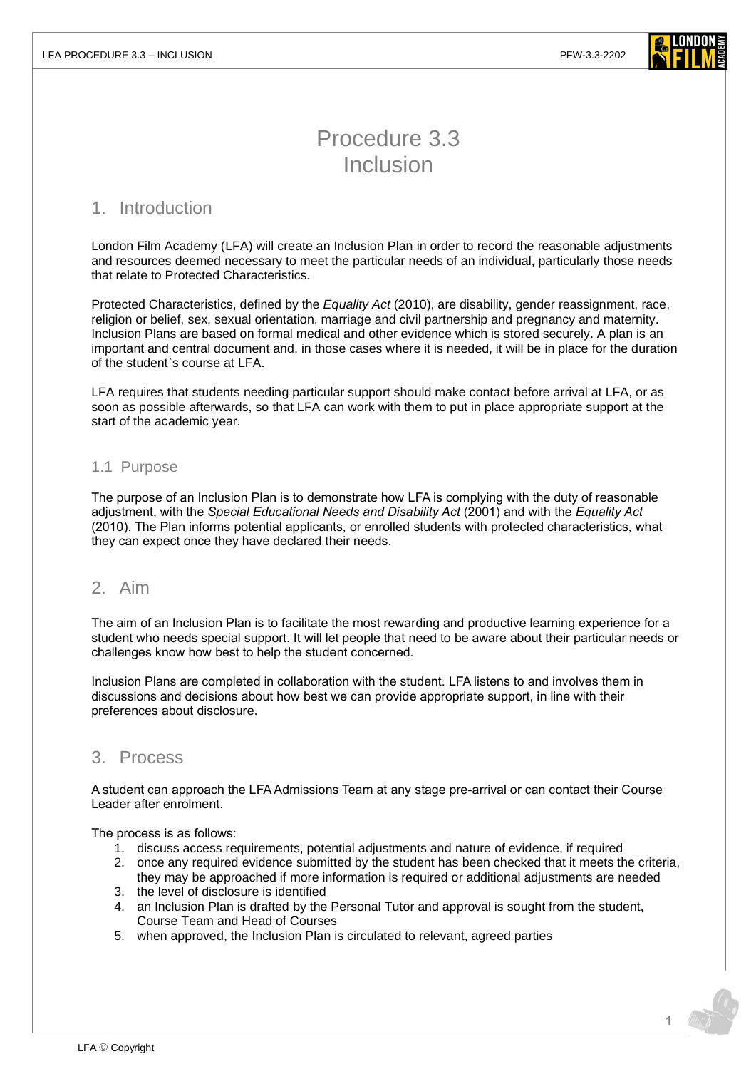

# Procedure 3.3 Inclusion

# 1. Introduction

London Film Academy (LFA) will create an Inclusion Plan in order to record the reasonable adjustments and resources deemed necessary to meet the particular needs of an individual, particularly those needs that relate to Protected Characteristics.

Protected Characteristics, defined by the *Equality Act* (2010), are disability, gender reassignment, race, religion or belief, sex, sexual orientation, marriage and civil partnership and pregnancy and maternity. Inclusion Plans are based on formal medical and other evidence which is stored securely. A plan is an important and central document and, in those cases where it is needed, it will be in place for the duration of the student`s course at LFA.

LFA requires that students needing particular support should make contact before arrival at LFA, or as soon as possible afterwards, so that LFA can work with them to put in place appropriate support at the start of the academic year.

#### 1.1 Purpose

The purpose of an Inclusion Plan is to demonstrate how LFA is complying with the duty of reasonable adjustment, with the *Special Educational Needs and Disability Act* (2001) and with the *Equality Act* (2010). The Plan informs potential applicants, or enrolled students with protected characteristics, what they can expect once they have declared their needs.

## 2. Aim

The aim of an Inclusion Plan is to facilitate the most rewarding and productive learning experience for a student who needs special support. It will let people that need to be aware about their particular needs or challenges know how best to help the student concerned.

Inclusion Plans are completed in collaboration with the student. LFA listens to and involves them in discussions and decisions about how best we can provide appropriate support, in line with their preferences about disclosure.

# 3. Process

A student can approach the LFA Admissions Team at any stage pre-arrival or can contact their Course Leader after enrolment.

The process is as follows:

- 1. discuss access requirements, potential adjustments and nature of evidence, if required
- 2. once any required evidence submitted by the student has been checked that it meets the criteria, they may be approached if more information is required or additional adjustments are needed
- 3. the level of disclosure is identified
- 4. an Inclusion Plan is drafted by the Personal Tutor and approval is sought from the student, Course Team and Head of Courses
- 5. when approved, the Inclusion Plan is circulated to relevant, agreed parties